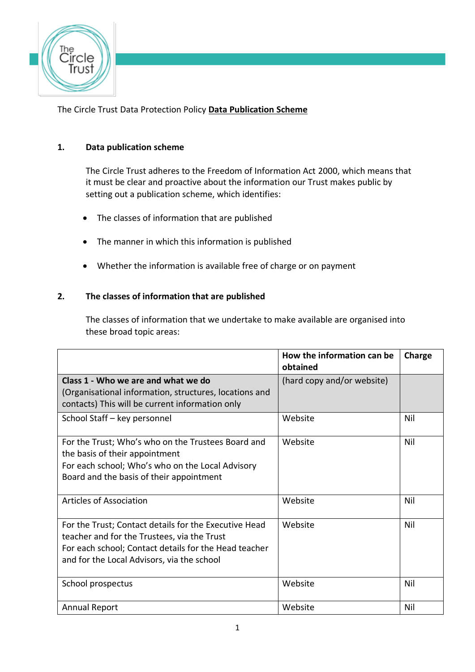

The Circle Trust Data Protection Policy **Data Publication Scheme**

# **1. Data publication scheme**

The Circle Trust adheres to the Freedom of Information Act 2000, which means that it must be clear and proactive about the information our Trust makes public by setting out a publication scheme, which identifies:

- The classes of information that are published
- The manner in which this information is published
- Whether the information is available free of charge or on payment

### **2. The classes of information that are published**

The classes of information that we undertake to make available are organised into these broad topic areas:

|                                                                                                                                                                                                             | How the information can be<br>obtained | Charge |
|-------------------------------------------------------------------------------------------------------------------------------------------------------------------------------------------------------------|----------------------------------------|--------|
| Class 1 - Who we are and what we do<br>(Organisational information, structures, locations and<br>contacts) This will be current information only                                                            | (hard copy and/or website)             |        |
| School Staff - key personnel                                                                                                                                                                                | Website                                | Nil    |
| For the Trust; Who's who on the Trustees Board and<br>the basis of their appointment<br>For each school; Who's who on the Local Advisory<br>Board and the basis of their appointment                        | Website                                | Nil    |
| Articles of Association                                                                                                                                                                                     | Website                                | Nil    |
| For the Trust; Contact details for the Executive Head<br>teacher and for the Trustees, via the Trust<br>For each school; Contact details for the Head teacher<br>and for the Local Advisors, via the school | Website                                | Nil    |
| School prospectus                                                                                                                                                                                           | Website                                | Nil    |
| <b>Annual Report</b>                                                                                                                                                                                        | Website                                | Nil    |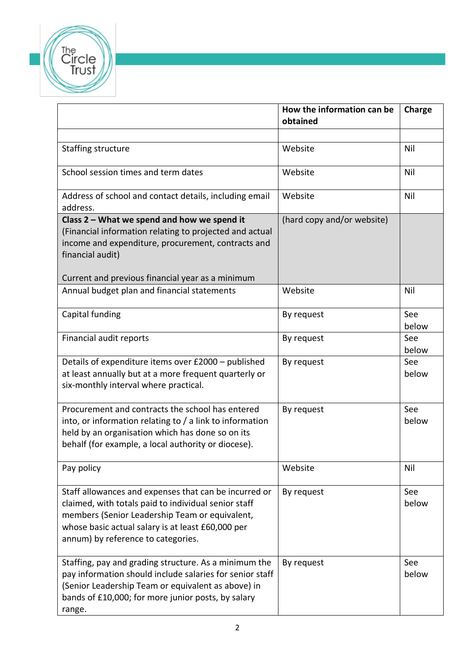

|                                                                                                                                                                                                                                                            | How the information can be<br>obtained | Charge       |
|------------------------------------------------------------------------------------------------------------------------------------------------------------------------------------------------------------------------------------------------------------|----------------------------------------|--------------|
|                                                                                                                                                                                                                                                            |                                        |              |
| Staffing structure                                                                                                                                                                                                                                         | Website                                | Nil          |
| School session times and term dates                                                                                                                                                                                                                        | Website                                | Nil          |
| Address of school and contact details, including email<br>address.                                                                                                                                                                                         | Website                                | Nil          |
| Class 2 - What we spend and how we spend it                                                                                                                                                                                                                | (hard copy and/or website)             |              |
| (Financial information relating to projected and actual<br>income and expenditure, procurement, contracts and<br>financial audit)                                                                                                                          |                                        |              |
| Current and previous financial year as a minimum                                                                                                                                                                                                           |                                        |              |
| Annual budget plan and financial statements                                                                                                                                                                                                                | Website                                | Nil          |
| Capital funding                                                                                                                                                                                                                                            | By request                             | See<br>below |
| Financial audit reports                                                                                                                                                                                                                                    | By request                             | See<br>below |
| Details of expenditure items over £2000 - published<br>at least annually but at a more frequent quarterly or<br>six-monthly interval where practical.                                                                                                      | By request                             | See<br>below |
| Procurement and contracts the school has entered<br>into, or information relating to / a link to information<br>held by an organisation which has done so on its<br>behalf (for example, a local authority or diocese).                                    | By request                             | See<br>below |
| Pay policy                                                                                                                                                                                                                                                 | Website                                | Nil          |
| Staff allowances and expenses that can be incurred or<br>claimed, with totals paid to individual senior staff<br>members (Senior Leadership Team or equivalent,<br>whose basic actual salary is at least £60,000 per<br>annum) by reference to categories. | By request                             | See<br>below |
| Staffing, pay and grading structure. As a minimum the<br>pay information should include salaries for senior staff<br>(Senior Leadership Team or equivalent as above) in<br>bands of £10,000; for more junior posts, by salary<br>range.                    | By request                             | See<br>below |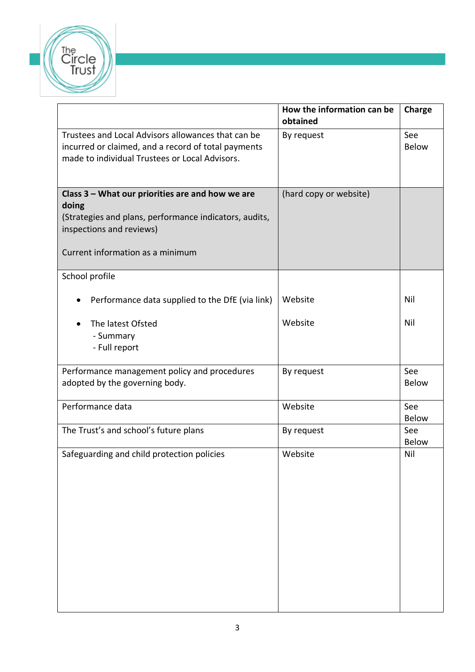

|                                                                                                                                                                                     | How the information can be<br>obtained | Charge              |
|-------------------------------------------------------------------------------------------------------------------------------------------------------------------------------------|----------------------------------------|---------------------|
| Trustees and Local Advisors allowances that can be<br>incurred or claimed, and a record of total payments<br>made to individual Trustees or Local Advisors.                         | By request                             | See<br><b>Below</b> |
| Class 3 - What our priorities are and how we are<br>doing<br>(Strategies and plans, performance indicators, audits,<br>inspections and reviews)<br>Current information as a minimum | (hard copy or website)                 |                     |
| School profile                                                                                                                                                                      |                                        |                     |
| Performance data supplied to the DfE (via link)                                                                                                                                     | Website                                | Nil                 |
| The latest Ofsted<br>- Summary<br>- Full report                                                                                                                                     | Website                                | Nil                 |
| Performance management policy and procedures<br>adopted by the governing body.                                                                                                      | By request                             | See<br><b>Below</b> |
| Performance data                                                                                                                                                                    | Website                                | See<br><b>Below</b> |
| The Trust's and school's future plans                                                                                                                                               | By request                             | See<br><b>Below</b> |
| Safeguarding and child protection policies                                                                                                                                          | Website                                | Nil                 |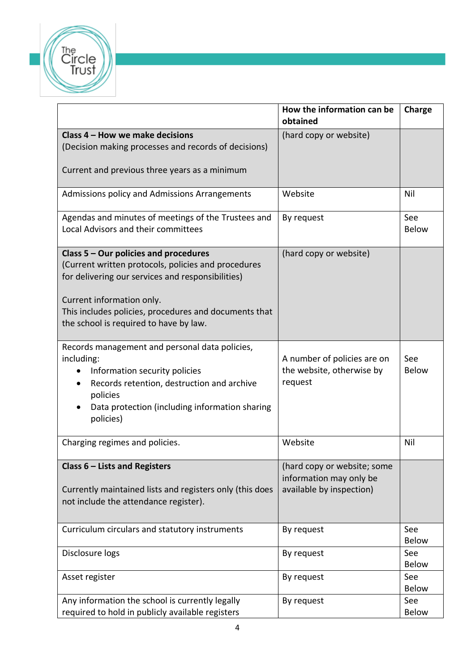

|                                                                                                                                                                                                                                                                                     | How the information can be<br>obtained                                             | Charge              |
|-------------------------------------------------------------------------------------------------------------------------------------------------------------------------------------------------------------------------------------------------------------------------------------|------------------------------------------------------------------------------------|---------------------|
| Class 4 - How we make decisions<br>(Decision making processes and records of decisions)<br>Current and previous three years as a minimum                                                                                                                                            | (hard copy or website)                                                             |                     |
| Admissions policy and Admissions Arrangements                                                                                                                                                                                                                                       | Website                                                                            | Nil                 |
| Agendas and minutes of meetings of the Trustees and<br>Local Advisors and their committees                                                                                                                                                                                          | By request                                                                         | See<br><b>Below</b> |
| Class $5 -$ Our policies and procedures<br>(Current written protocols, policies and procedures<br>for delivering our services and responsibilities)<br>Current information only.<br>This includes policies, procedures and documents that<br>the school is required to have by law. | (hard copy or website)                                                             |                     |
| Records management and personal data policies,<br>including:<br>Information security policies<br>Records retention, destruction and archive<br>policies<br>Data protection (including information sharing<br>policies)                                                              | A number of policies are on<br>the website, otherwise by<br>request                | See<br><b>Below</b> |
| Charging regimes and policies.                                                                                                                                                                                                                                                      | Website                                                                            | Nil                 |
| Class $6$ – Lists and Registers<br>Currently maintained lists and registers only (this does<br>not include the attendance register).                                                                                                                                                | (hard copy or website; some<br>information may only be<br>available by inspection) |                     |
| Curriculum circulars and statutory instruments                                                                                                                                                                                                                                      | By request                                                                         | See<br><b>Below</b> |
| Disclosure logs                                                                                                                                                                                                                                                                     | By request                                                                         | See<br><b>Below</b> |
| Asset register                                                                                                                                                                                                                                                                      | By request                                                                         | See<br><b>Below</b> |
| Any information the school is currently legally<br>required to hold in publicly available registers                                                                                                                                                                                 | By request                                                                         | See<br><b>Below</b> |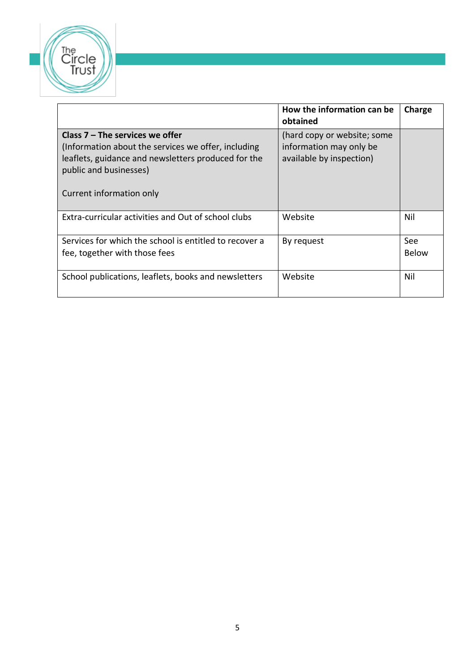

|                                                                                                                                                                                                       | How the information can be<br>obtained                                             | Charge       |
|-------------------------------------------------------------------------------------------------------------------------------------------------------------------------------------------------------|------------------------------------------------------------------------------------|--------------|
| Class $7 -$ The services we offer<br>(Information about the services we offer, including<br>leaflets, guidance and newsletters produced for the<br>public and businesses)<br>Current information only | (hard copy or website; some<br>information may only be<br>available by inspection) |              |
| Extra-curricular activities and Out of school clubs                                                                                                                                                   | Website                                                                            | Nil          |
| Services for which the school is entitled to recover a<br>fee, together with those fees                                                                                                               | By request                                                                         | See<br>Below |
| School publications, leaflets, books and newsletters                                                                                                                                                  | Website                                                                            | Nil          |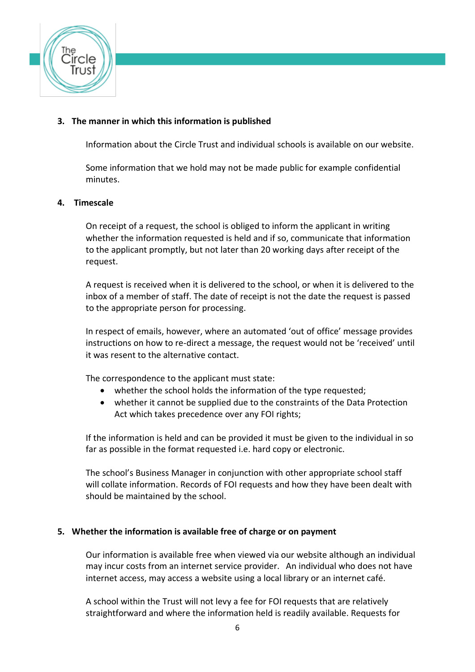

# **3. The manner in which this information is published**

Information about the Circle Trust and individual schools is available on our website.

Some information that we hold may not be made public for example confidential minutes.

#### **4. Timescale**

On receipt of a request, the school is obliged to inform the applicant in writing whether the information requested is held and if so, communicate that information to the applicant promptly, but not later than 20 working days after receipt of the request.

A request is received when it is delivered to the school, or when it is delivered to the inbox of a member of staff. The date of receipt is not the date the request is passed to the appropriate person for processing.

In respect of emails, however, where an automated 'out of office' message provides instructions on how to re-direct a message, the request would not be 'received' until it was resent to the alternative contact.

The correspondence to the applicant must state:

- whether the school holds the information of the type requested;
- whether it cannot be supplied due to the constraints of the Data Protection Act which takes precedence over any FOI rights;

If the information is held and can be provided it must be given to the individual in so far as possible in the format requested i.e. hard copy or electronic.

The school's Business Manager in conjunction with other appropriate school staff will collate information. Records of FOI requests and how they have been dealt with should be maintained by the school.

### **5. Whether the information is available free of charge or on payment**

Our information is available free when viewed via our website although an individual may incur costs from an internet service provider. An individual who does not have internet access, may access a website using a local library or an internet café.

A school within the Trust will not levy a fee for FOI requests that are relatively straightforward and where the information held is readily available. Requests for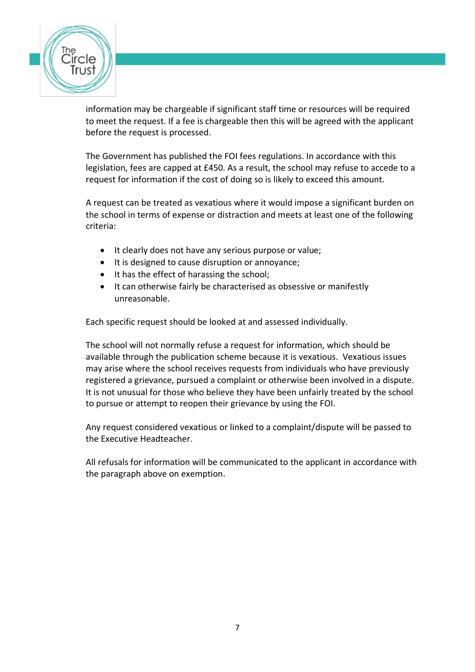

information may be chargeable if significant staff time or resources will be required to meet the request. If a fee is chargeable then this will be agreed with the applicant before the request is processed.

The Government has published the FOI fees regulations. In accordance with this legislation, fees are capped at £450. As a result, the school may refuse to accede to a request for information if the cost of doing so is likely to exceed this amount.

A request can be treated as vexatious where it would impose a significant burden on the school in terms of expense or distraction and meets at least one of the following criteria:

- It clearly does not have any serious purpose or value;
- It is designed to cause disruption or annoyance;
- It has the effect of harassing the school;
- It can otherwise fairly be characterised as obsessive or manifestly unreasonable.

Each specific request should be looked at and assessed individually.

The school will not normally refuse a request for information, which should be available through the publication scheme because it is vexatious. Vexatious issues may arise where the school receives requests from individuals who have previously registered a grievance, pursued a complaint or otherwise been involved in a dispute. It is not unusual for those who believe they have been unfairly treated by the school to pursue or attempt to reopen their grievance by using the FOI.

Any request considered vexatious or linked to a complaint/dispute will be passed to the Executive Headteacher.

All refusals for information will be communicated to the applicant in accordance with the paragraph above on exemption.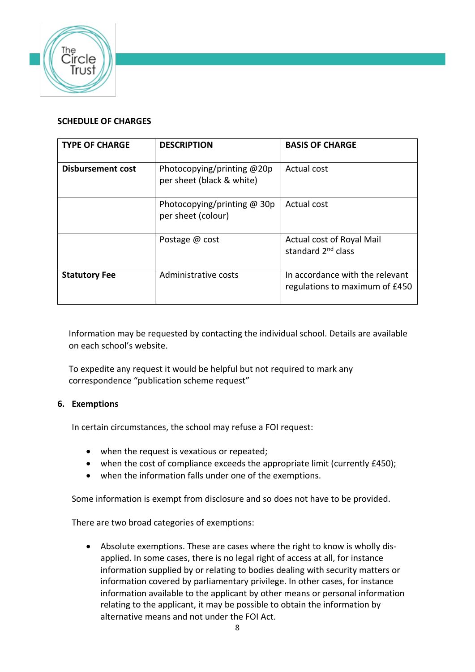

## **SCHEDULE OF CHARGES**

| <b>TYPE OF CHARGE</b>    | <b>DESCRIPTION</b>                                        | <b>BASIS OF CHARGE</b>                                            |
|--------------------------|-----------------------------------------------------------|-------------------------------------------------------------------|
| <b>Disbursement cost</b> | Photocopying/printing $@20p$<br>per sheet (black & white) | Actual cost                                                       |
|                          | Photocopying/printing $@$ 30p<br>per sheet (colour)       | Actual cost                                                       |
|                          | Postage @ cost                                            | Actual cost of Royal Mail<br>standard 2 <sup>nd</sup> class       |
| <b>Statutory Fee</b>     | Administrative costs                                      | In accordance with the relevant<br>regulations to maximum of £450 |

Information may be requested by contacting the individual school. Details are available on each school's website.

To expedite any request it would be helpful but not required to mark any correspondence "publication scheme request"

### **6. Exemptions**

In certain circumstances, the school may refuse a FOI request:

- when the request is vexatious or repeated;
- when the cost of compliance exceeds the appropriate limit (currently £450);
- when the information falls under one of the exemptions.

Some information is exempt from disclosure and so does not have to be provided.

There are two broad categories of exemptions:

• Absolute exemptions. These are cases where the right to know is wholly disapplied. In some cases, there is no legal right of access at all, for instance information supplied by or relating to bodies dealing with security matters or information covered by parliamentary privilege. In other cases, for instance information available to the applicant by other means or personal information relating to the applicant, it may be possible to obtain the information by alternative means and not under the FOI Act.